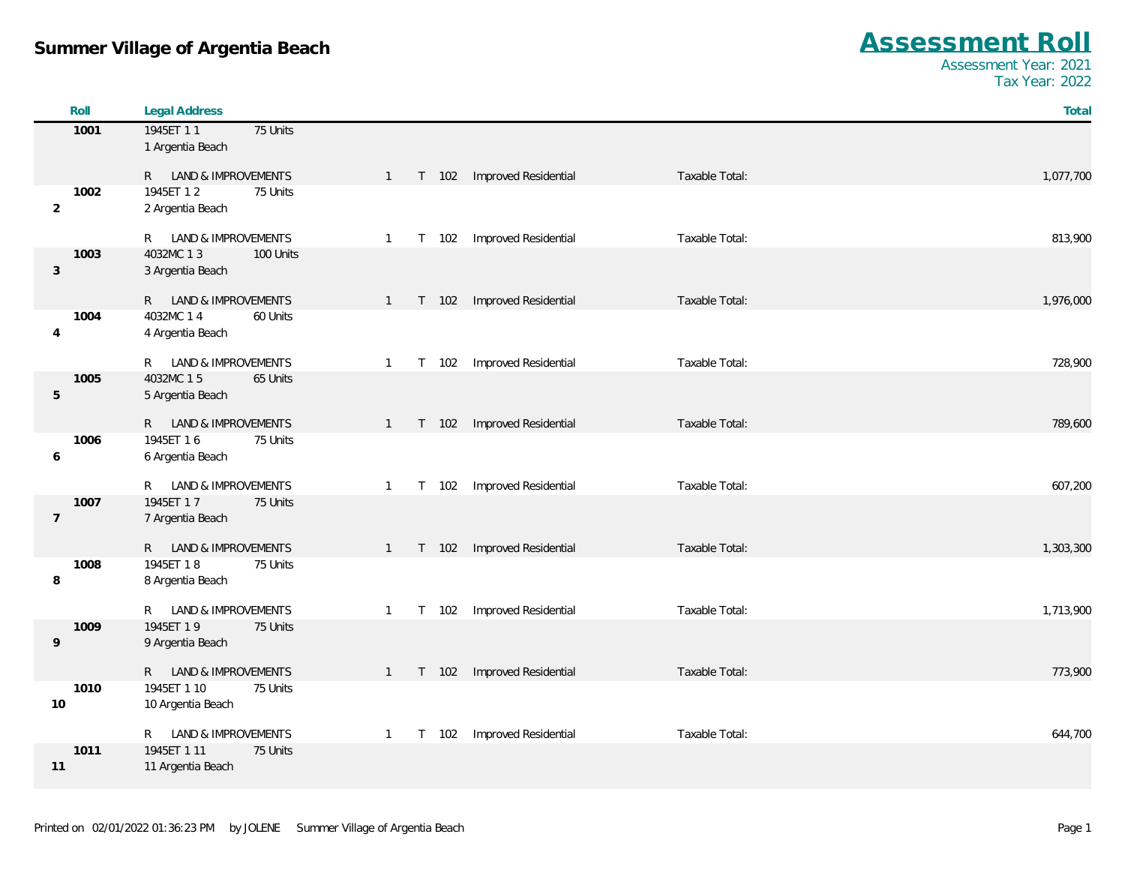| Roll           | <b>Legal Address</b>                             |                                                                   | Total     |
|----------------|--------------------------------------------------|-------------------------------------------------------------------|-----------|
| 1001           | 1945ET 11<br>75 Units                            |                                                                   |           |
|                | 1 Argentia Beach                                 |                                                                   |           |
|                | R LAND & IMPROVEMENTS                            | Improved Residential<br>Taxable Total:<br>T 102<br>$\mathbf{1}$   | 1,077,700 |
| 1002           | 1945ET 12<br>75 Units                            |                                                                   |           |
| $\overline{2}$ | 2 Argentia Beach                                 |                                                                   |           |
|                | R LAND & IMPROVEMENTS                            | Improved Residential<br>Taxable Total:<br>T 102<br>$\mathbf{1}$   | 813,900   |
| 1003           | 4032MC 13<br>100 Units                           |                                                                   |           |
| 3              | 3 Argentia Beach                                 |                                                                   |           |
|                |                                                  |                                                                   |           |
| 1004           | R LAND & IMPROVEMENTS<br>4032MC 1 4<br>60 Units  | Improved Residential<br>Taxable Total:<br>T 102<br>$\overline{1}$ | 1,976,000 |
| $\overline{4}$ | 4 Argentia Beach                                 |                                                                   |           |
|                |                                                  |                                                                   |           |
|                | R LAND & IMPROVEMENTS                            | Improved Residential<br>Taxable Total:<br>T 102<br>-1             | 728,900   |
| 1005<br>5      | 4032MC 15<br>65 Units<br>5 Argentia Beach        |                                                                   |           |
|                |                                                  |                                                                   |           |
|                | R LAND & IMPROVEMENTS                            | Improved Residential<br>Taxable Total:<br>T 102<br>$\mathbf{1}$   | 789,600   |
| 1006           | 1945ET 16<br>75 Units                            |                                                                   |           |
| 6              | 6 Argentia Beach                                 |                                                                   |           |
|                | R LAND & IMPROVEMENTS                            | Improved Residential<br>T 102<br>Taxable Total:<br>$\overline{1}$ | 607,200   |
| 1007           | 1945ET 17<br>75 Units                            |                                                                   |           |
| $\overline{7}$ | 7 Argentia Beach                                 |                                                                   |           |
|                | R LAND & IMPROVEMENTS                            | Improved Residential<br>Taxable Total:<br>T 102<br>$\overline{1}$ | 1,303,300 |
| 1008           | 1945ET 18<br>75 Units                            |                                                                   |           |
| 8              | 8 Argentia Beach                                 |                                                                   |           |
|                | LAND & IMPROVEMENTS<br>R.                        | T 102<br>Improved Residential<br>Taxable Total:<br>$\overline{1}$ | 1,713,900 |
| 1009           | 1945ET 19<br>75 Units                            |                                                                   |           |
| 9              | 9 Argentia Beach                                 |                                                                   |           |
|                |                                                  |                                                                   |           |
| 1010           | R LAND & IMPROVEMENTS<br>1945ET 1 10<br>75 Units | Improved Residential<br>Taxable Total:<br>$\mathbf{1}$<br>T 102   | 773,900   |
| 10             | 10 Argentia Beach                                |                                                                   |           |
|                |                                                  |                                                                   |           |
|                | LAND & IMPROVEMENTS<br>R.                        | Improved Residential<br>Taxable Total:<br>T 102<br>$\mathbf{1}$   | 644,700   |
| 1011           | 1945ET 1 11<br>75 Units                          |                                                                   |           |
| 11             | 11 Argentia Beach                                |                                                                   |           |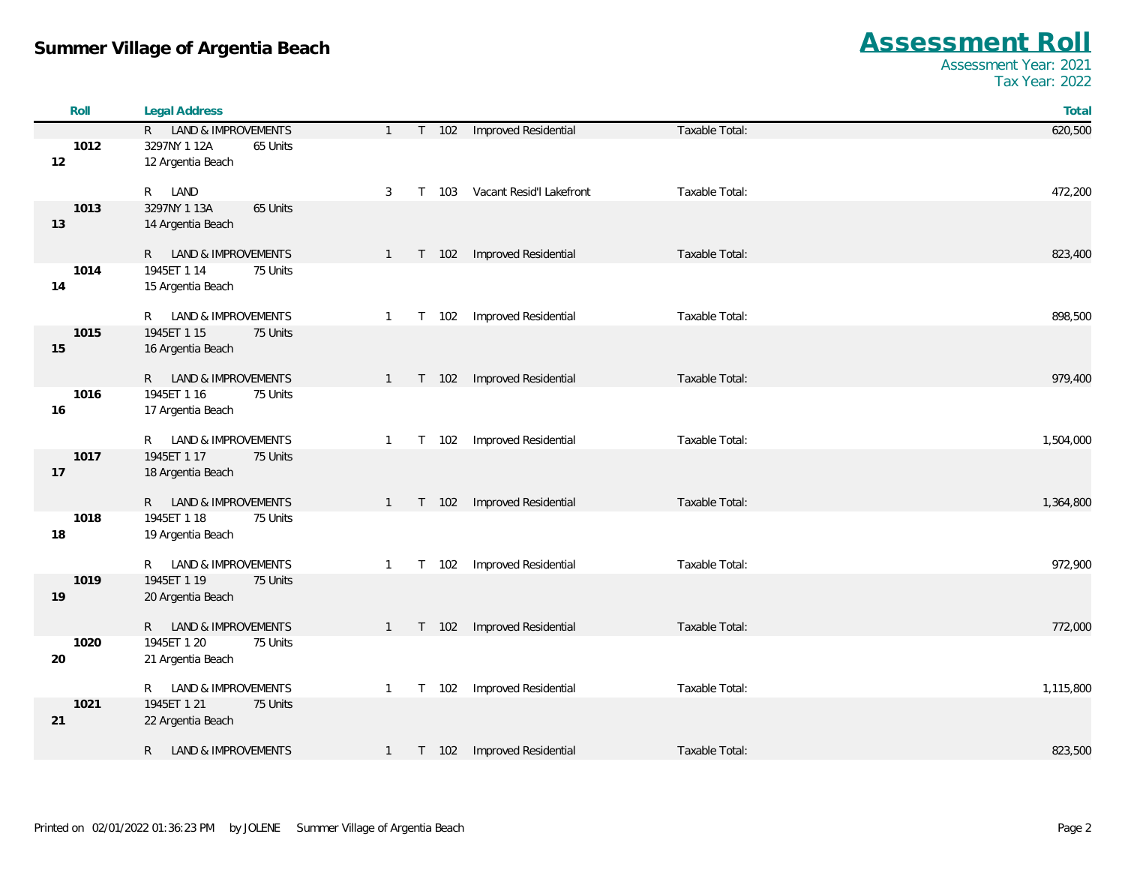| Roll | <b>Legal Address</b>                             |                         |                                              | Total     |
|------|--------------------------------------------------|-------------------------|----------------------------------------------|-----------|
|      | R LAND & IMPROVEMENTS                            | $\mathbf{1}$            | T 102 Improved Residential<br>Taxable Total: | 620,500   |
| 1012 | 3297NY 1 12A<br>65 Units                         |                         |                                              |           |
| 12   | 12 Argentia Beach                                |                         |                                              |           |
|      |                                                  |                         |                                              |           |
|      | R LAND                                           | 3<br>T 103              | Vacant Resid'l Lakefront<br>Taxable Total:   | 472,200   |
| 1013 | 3297NY 1 13A<br>65 Units                         |                         |                                              |           |
| 13   | 14 Argentia Beach                                |                         |                                              |           |
|      | R LAND & IMPROVEMENTS                            | T 102<br>$\mathbf{1}$   | Improved Residential<br>Taxable Total:       | 823,400   |
| 1014 | 1945ET 1 14<br>75 Units                          |                         |                                              |           |
| 14   | 15 Argentia Beach                                |                         |                                              |           |
|      |                                                  |                         |                                              |           |
|      | R LAND & IMPROVEMENTS                            | T 102<br>$\mathbf{1}$   | Improved Residential<br>Taxable Total:       | 898,500   |
| 1015 | 1945ET 1 15<br>75 Units                          |                         |                                              |           |
| 15   | 16 Argentia Beach                                |                         |                                              |           |
|      |                                                  |                         |                                              |           |
|      | R LAND & IMPROVEMENTS                            | T 102<br>$\mathbf{1}$   | Improved Residential<br>Taxable Total:       | 979,400   |
| 1016 | 1945ET 1 16<br>75 Units                          |                         |                                              |           |
| 16   | 17 Argentia Beach                                |                         |                                              |           |
|      | R LAND & IMPROVEMENTS                            | T 102<br>$\mathbf{1}$   | Improved Residential<br>Taxable Total:       | 1,504,000 |
| 1017 | 1945ET 1 17<br>75 Units                          |                         |                                              |           |
| 17   | 18 Argentia Beach                                |                         |                                              |           |
|      |                                                  |                         |                                              |           |
|      | R LAND & IMPROVEMENTS                            | $T$ 102<br>$\mathbf{1}$ | Improved Residential<br>Taxable Total:       | 1,364,800 |
| 1018 | 1945ET 1 18<br>75 Units                          |                         |                                              |           |
| 18   | 19 Argentia Beach                                |                         |                                              |           |
|      |                                                  |                         |                                              |           |
| 1019 | R LAND & IMPROVEMENTS<br>1945ET 1 19<br>75 Units | T 102<br>$\mathbf{1}$   | Improved Residential<br>Taxable Total:       | 972,900   |
| 19   | 20 Argentia Beach                                |                         |                                              |           |
|      |                                                  |                         |                                              |           |
|      | LAND & IMPROVEMENTS<br>R                         | T 102<br>$\mathbf{1}$   | Improved Residential<br>Taxable Total:       | 772,000   |
| 1020 | 1945ET 1 20<br>75 Units                          |                         |                                              |           |
| 20   | 21 Argentia Beach                                |                         |                                              |           |
|      |                                                  |                         |                                              |           |
|      | R LAND & IMPROVEMENTS                            | T 102<br>$\mathbf{1}$   | Improved Residential<br>Taxable Total:       | 1,115,800 |
| 1021 | 1945ET 1 21<br>75 Units                          |                         |                                              |           |
| 21   | 22 Argentia Beach                                |                         |                                              |           |
|      | R.<br><b>LAND &amp; IMPROVEMENTS</b>             | T 102<br>$\overline{1}$ | Improved Residential<br>Taxable Total:       | 823,500   |
|      |                                                  |                         |                                              |           |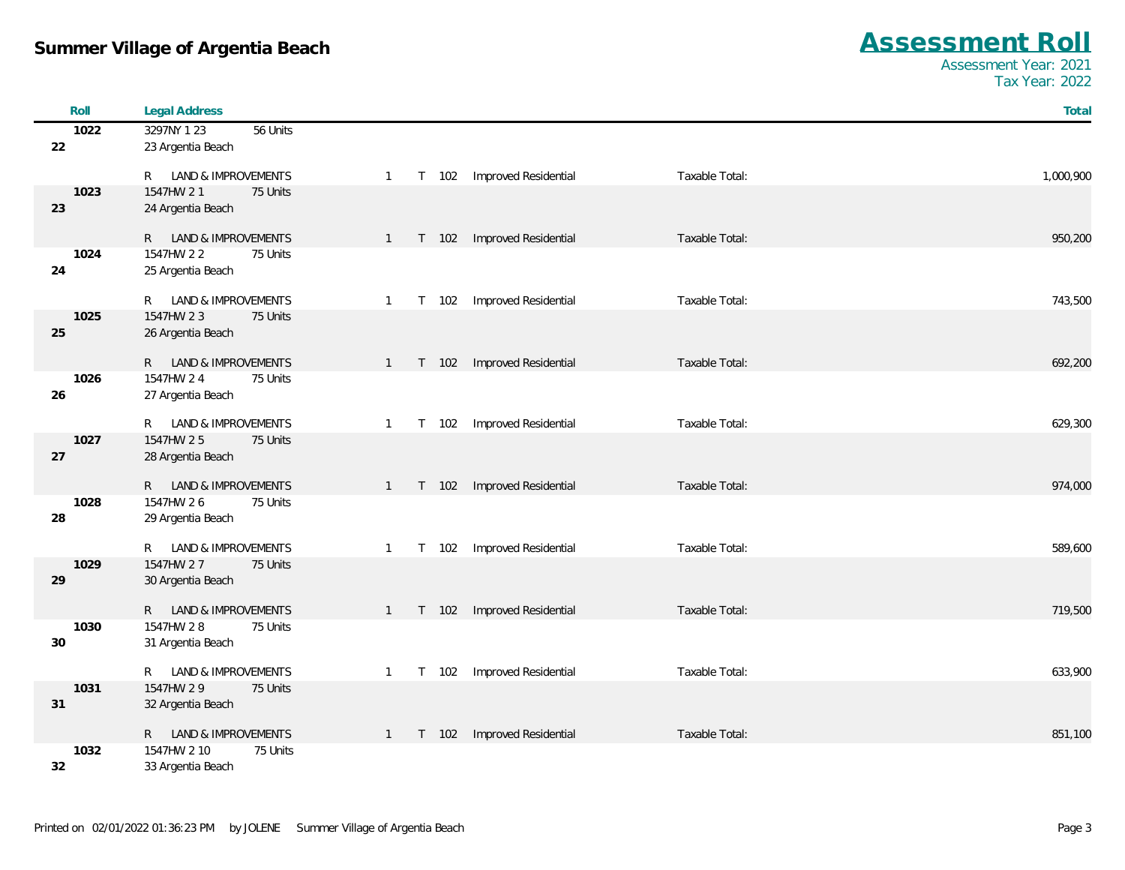| Roll | <b>Legal Address</b>                           |                                                                               | Total     |
|------|------------------------------------------------|-------------------------------------------------------------------------------|-----------|
| 1022 | 3297NY 1 23<br>56 Units                        |                                                                               |           |
| 22   | 23 Argentia Beach                              |                                                                               |           |
|      |                                                |                                                                               |           |
|      | LAND & IMPROVEMENTS<br>R —                     | Improved Residential<br>Taxable Total:<br>T 102<br>$\overline{1}$             | 1,000,900 |
| 1023 | 1547HW 21<br>75 Units                          |                                                                               |           |
| 23   | 24 Argentia Beach                              |                                                                               |           |
|      | R LAND & IMPROVEMENTS                          | Improved Residential<br>Taxable Total:<br>T 102<br>$\mathbf{1}$               | 950,200   |
| 1024 | 1547HW 2 2<br>75 Units                         |                                                                               |           |
| 24   | 25 Argentia Beach                              |                                                                               |           |
|      |                                                |                                                                               |           |
|      | LAND & IMPROVEMENTS<br>R —                     | Improved Residential<br>Taxable Total:<br>T 102<br>$\overline{1}$             | 743,500   |
| 1025 | 1547HW 23<br>75 Units                          |                                                                               |           |
| 25   | 26 Argentia Beach                              |                                                                               |           |
|      |                                                |                                                                               |           |
| 1026 | R LAND & IMPROVEMENTS<br>1547HW 24<br>75 Units | Taxable Total:<br>Improved Residential<br>$T$ 102<br>$\overline{1}$           | 692,200   |
| 26   | 27 Argentia Beach                              |                                                                               |           |
|      |                                                |                                                                               |           |
|      | LAND & IMPROVEMENTS<br>R —                     | Improved Residential<br>Taxable Total:<br>102<br>$\mathbf{1}$<br>$\mathsf{T}$ | 629,300   |
| 1027 | 1547HW 25<br>75 Units                          |                                                                               |           |
| 27   | 28 Argentia Beach                              |                                                                               |           |
|      |                                                |                                                                               |           |
|      | R LAND & IMPROVEMENTS                          | Improved Residential<br>Taxable Total:<br>102<br>$\mathbf{1}$<br>$\mathsf{T}$ | 974,000   |
| 1028 | 1547HW 26<br>75 Units                          |                                                                               |           |
| 28   | 29 Argentia Beach                              |                                                                               |           |
|      | R LAND & IMPROVEMENTS                          | Improved Residential<br>Taxable Total:<br>T 102<br>-1                         | 589,600   |
| 1029 | 1547HW 27<br>75 Units                          |                                                                               |           |
| 29   | 30 Argentia Beach                              |                                                                               |           |
|      |                                                |                                                                               |           |
|      | R LAND & IMPROVEMENTS                          | Improved Residential<br>Taxable Total:<br>$T$ 102<br>$\overline{1}$           | 719,500   |
| 1030 | 1547HW 28<br>75 Units                          |                                                                               |           |
| 30   | 31 Argentia Beach                              |                                                                               |           |
|      | R LAND & IMPROVEMENTS                          | Improved Residential<br>Taxable Total:<br>T 102<br>-1                         | 633,900   |
| 1031 | 1547HW 2 9<br>75 Units                         |                                                                               |           |
| 31   | 32 Argentia Beach                              |                                                                               |           |
|      |                                                |                                                                               |           |
|      | R LAND & IMPROVEMENTS                          | Improved Residential<br>Taxable Total:<br>T 102<br>$\mathbf{1}$               | 851,100   |
| 1032 | 1547HW 2 10<br>75 Units                        |                                                                               |           |
| 32   | 33 Argentia Beach                              |                                                                               |           |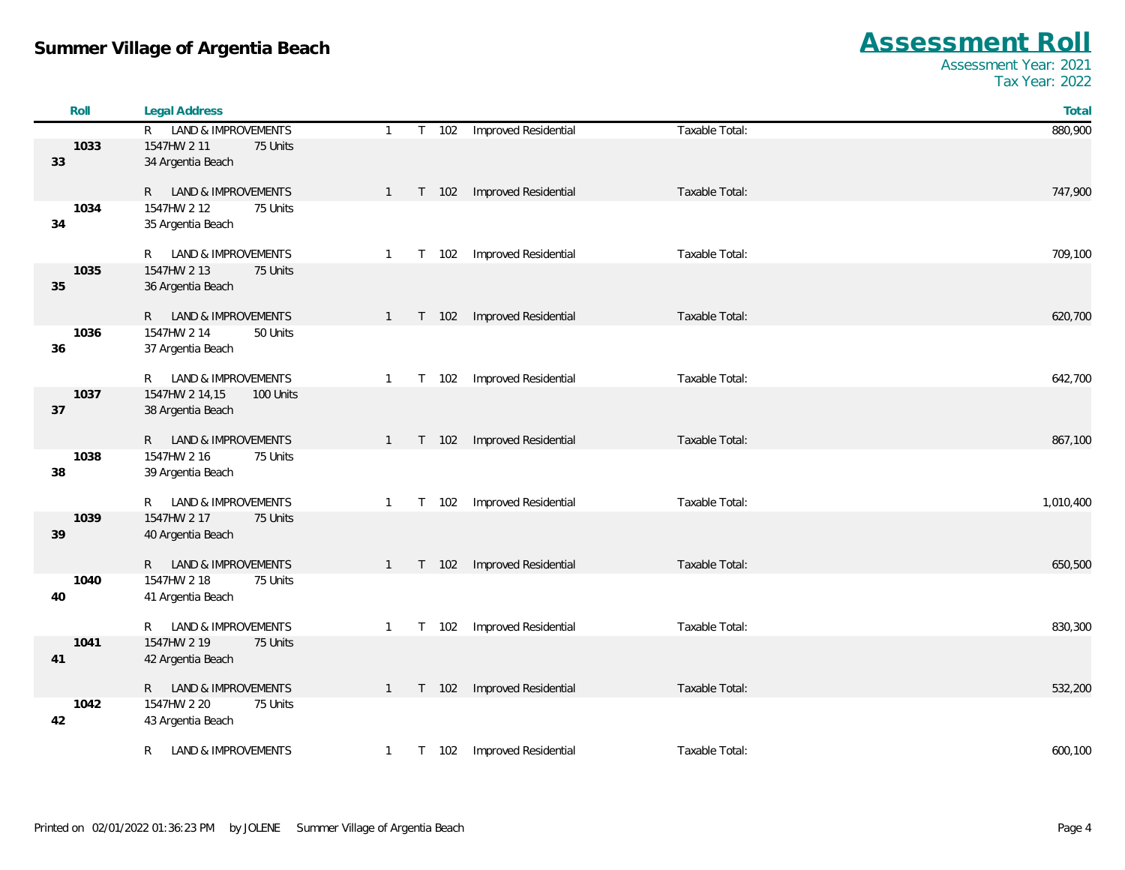| Roll | <b>Legal Address</b>                                 |              |         |                             |                | Total     |
|------|------------------------------------------------------|--------------|---------|-----------------------------|----------------|-----------|
|      | R LAND & IMPROVEMENTS                                | $\mathbf{1}$ |         | T 102 Improved Residential  | Taxable Total: | 880,900   |
| 1033 | 1547HW 2 11<br>75 Units                              |              |         |                             |                |           |
| 33   | 34 Argentia Beach                                    |              |         |                             |                |           |
|      |                                                      |              |         |                             |                |           |
|      | R LAND & IMPROVEMENTS                                | $\mathbf{1}$ | T 102   | Improved Residential        | Taxable Total: | 747,900   |
| 1034 | 1547HW 2 12<br>75 Units                              |              |         |                             |                |           |
| 34   | 35 Argentia Beach                                    |              |         |                             |                |           |
|      | LAND & IMPROVEMENTS<br>R.                            | $\mathbf{1}$ | T 102   | Improved Residential        | Taxable Total: | 709,100   |
| 1035 | 1547HW 2 13<br>75 Units                              |              |         |                             |                |           |
| 35   | 36 Argentia Beach                                    |              |         |                             |                |           |
|      |                                                      |              |         |                             |                |           |
|      | R LAND & IMPROVEMENTS                                | $\mathbf{1}$ | $T$ 102 | <b>Improved Residential</b> | Taxable Total: | 620,700   |
| 1036 | 1547HW 2 14<br>50 Units                              |              |         |                             |                |           |
| 36   | 37 Argentia Beach                                    |              |         |                             |                |           |
|      | LAND & IMPROVEMENTS<br>R.                            | 1            | T 102   | Improved Residential        | Taxable Total: | 642,700   |
| 1037 | 1547HW 2 14,15<br>100 Units                          |              |         |                             |                |           |
| 37   | 38 Argentia Beach                                    |              |         |                             |                |           |
|      |                                                      |              |         |                             |                |           |
|      | R LAND & IMPROVEMENTS                                | 1            | T 102   | Improved Residential        | Taxable Total: | 867,100   |
| 1038 | 1547HW 2 16<br>75 Units                              |              |         |                             |                |           |
| 38   | 39 Argentia Beach                                    |              |         |                             |                |           |
|      |                                                      |              |         |                             |                |           |
| 1039 | LAND & IMPROVEMENTS<br>R.<br>1547HW 2 17<br>75 Units | 1            | T 102   | Improved Residential        | Taxable Total: | 1,010,400 |
| 39   | 40 Argentia Beach                                    |              |         |                             |                |           |
|      |                                                      |              |         |                             |                |           |
|      | R LAND & IMPROVEMENTS                                | $\mathbf{1}$ | $T$ 102 | Improved Residential        | Taxable Total: | 650,500   |
| 1040 | 1547HW 2 18<br>75 Units                              |              |         |                             |                |           |
| 40   | 41 Argentia Beach                                    |              |         |                             |                |           |
|      |                                                      |              |         |                             |                |           |
|      | LAND & IMPROVEMENTS<br>R                             | $\mathbf{1}$ | T 102   | Improved Residential        | Taxable Total: | 830,300   |
| 1041 | 1547HW 2 19<br>75 Units                              |              |         |                             |                |           |
| 41   | 42 Argentia Beach                                    |              |         |                             |                |           |
|      | LAND & IMPROVEMENTS<br>R                             | $\mathbf{1}$ | T 102   | Improved Residential        | Taxable Total: | 532,200   |
| 1042 | 1547HW 2 20<br>75 Units                              |              |         |                             |                |           |
| 42   | 43 Argentia Beach                                    |              |         |                             |                |           |
|      |                                                      |              |         |                             |                |           |
|      | LAND & IMPROVEMENTS<br>R                             | $\mathbf{1}$ | T 102   | Improved Residential        | Taxable Total: | 600,100   |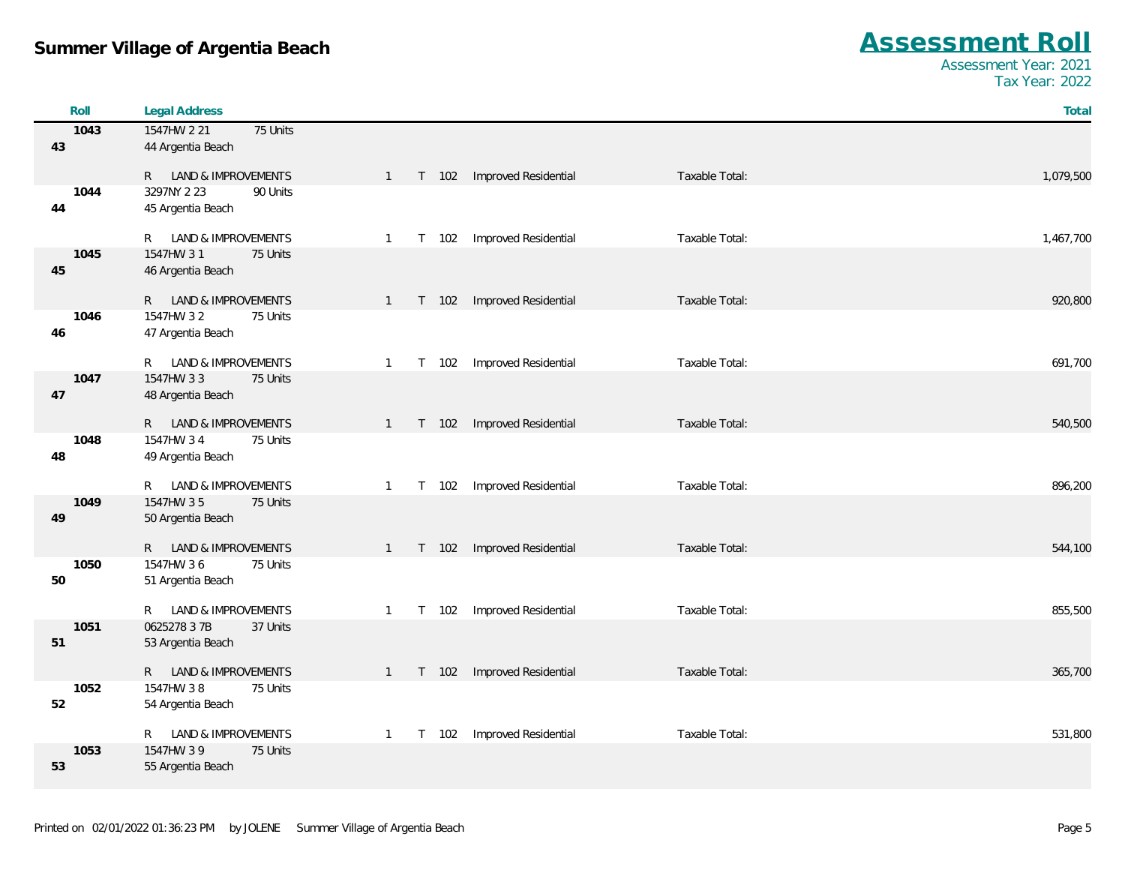| Roll       | <b>Legal Address</b>                                 |                                                                 | Total     |
|------------|------------------------------------------------------|-----------------------------------------------------------------|-----------|
| 1043       | 75 Units<br>1547HW 2 21                              |                                                                 |           |
| 43         | 44 Argentia Beach                                    |                                                                 |           |
|            |                                                      |                                                                 |           |
|            | R LAND & IMPROVEMENTS                                | T 102 Improved Residential<br>Taxable Total:<br>$\mathbf{1}$    | 1,079,500 |
| 1044       | 3297NY 2 23<br>90 Units                              |                                                                 |           |
| 44         | 45 Argentia Beach                                    |                                                                 |           |
|            | LAND & IMPROVEMENTS<br>R.                            | Improved Residential<br>Taxable Total:<br>T 102<br>1            | 1,467,700 |
| 1045       | 1547HW 31<br>75 Units                                |                                                                 |           |
| 45         | 46 Argentia Beach                                    |                                                                 |           |
|            |                                                      |                                                                 |           |
|            | R LAND & IMPROVEMENTS                                | Improved Residential<br>Taxable Total:<br>T 102<br>$\mathbf{1}$ | 920,800   |
| 1046       | 75 Units<br>1547HW 32                                |                                                                 |           |
| 46         | 47 Argentia Beach                                    |                                                                 |           |
|            |                                                      |                                                                 |           |
| 1047       | R LAND & IMPROVEMENTS<br>1547HW 33<br>75 Units       | Improved Residential<br>Taxable Total:<br>T 102<br>$\mathbf{1}$ | 691,700   |
| 47         | 48 Argentia Beach                                    |                                                                 |           |
|            |                                                      |                                                                 |           |
|            | R LAND & IMPROVEMENTS                                | Improved Residential<br>Taxable Total:<br>T 102<br>$\mathbf{1}$ | 540,500   |
| 1048       | 1547HW 34<br>75 Units                                |                                                                 |           |
| 48         | 49 Argentia Beach                                    |                                                                 |           |
|            | <b>LAND &amp; IMPROVEMENTS</b>                       | Taxable Total:                                                  |           |
| 1049       | R.<br>1547HW 35<br>75 Units                          | T 102<br>Improved Residential<br>$\mathbf{1}$                   | 896,200   |
| 49         | 50 Argentia Beach                                    |                                                                 |           |
|            |                                                      |                                                                 |           |
|            | R LAND & IMPROVEMENTS                                | Improved Residential<br>Taxable Total:<br>T 102<br>$\mathbf{1}$ | 544,100   |
| 1050       | 1547HW 36<br>75 Units                                |                                                                 |           |
| 50         | 51 Argentia Beach                                    |                                                                 |           |
|            |                                                      |                                                                 |           |
| 1051       | LAND & IMPROVEMENTS<br>R<br>0625278 3 7B<br>37 Units | Improved Residential<br>Taxable Total:<br>T 102<br>$\mathbf{1}$ | 855,500   |
| 51         | 53 Argentia Beach                                    |                                                                 |           |
|            |                                                      |                                                                 |           |
|            | R LAND & IMPROVEMENTS                                | Improved Residential<br>Taxable Total:<br>T 102<br>$\mathbf{1}$ | 365,700   |
| 1052       | 1547HW 38<br>75 Units                                |                                                                 |           |
| 52         | 54 Argentia Beach                                    |                                                                 |           |
|            |                                                      |                                                                 |           |
|            | LAND & IMPROVEMENTS<br>R.                            | Improved Residential<br>Taxable Total:<br>T 102<br>-1           | 531,800   |
| 1053<br>53 | 1547HW 3 9<br>75 Units<br>55 Argentia Beach          |                                                                 |           |
|            |                                                      |                                                                 |           |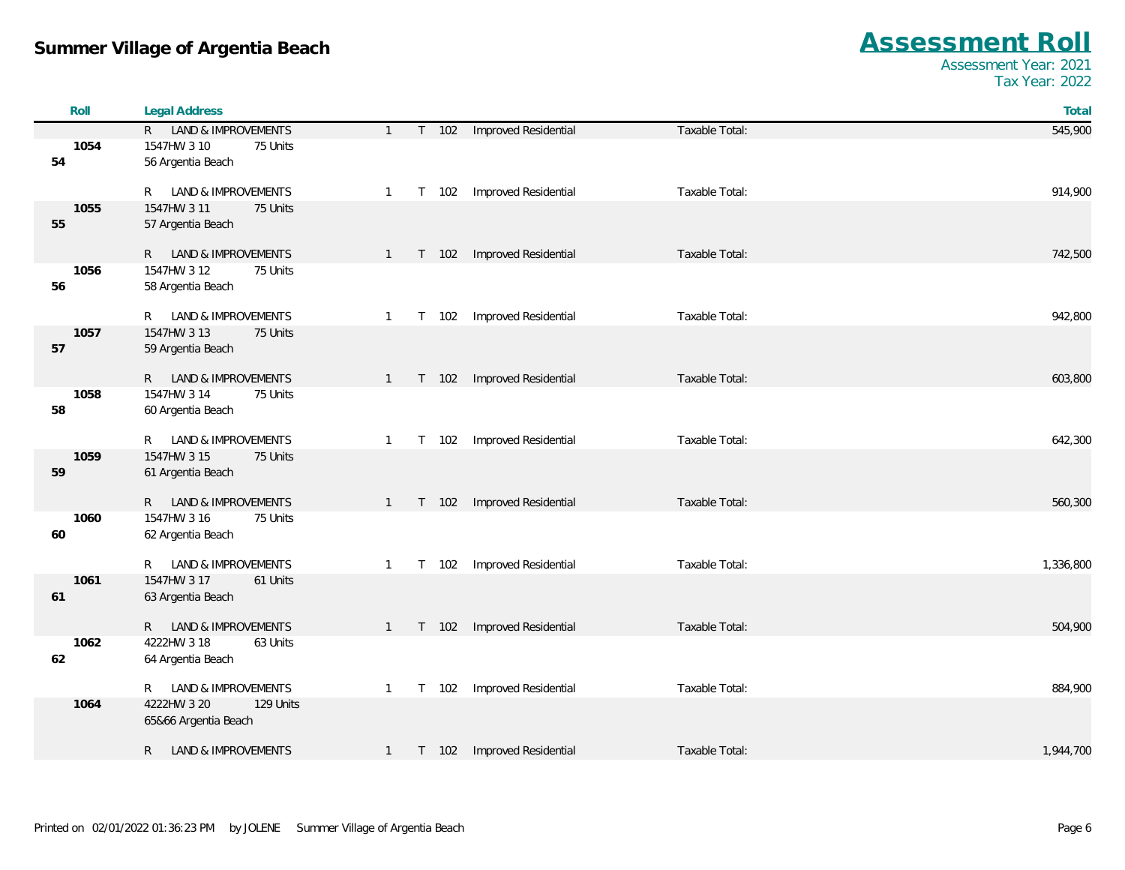| Roll       | <b>Legal Address</b>                         |                         |                            |                | Total     |
|------------|----------------------------------------------|-------------------------|----------------------------|----------------|-----------|
|            | R LAND & IMPROVEMENTS                        | $\mathbf{1}$            | T 102 Improved Residential | Taxable Total: | 545,900   |
| 1054       | 1547HW 3 10<br>75 Units                      |                         |                            |                |           |
| 54         | 56 Argentia Beach                            |                         |                            |                |           |
|            | LAND & IMPROVEMENTS<br>R                     | T 102<br>$\mathbf{1}$   | Improved Residential       | Taxable Total: | 914,900   |
| 1055       | 1547HW 3 11<br>75 Units                      |                         |                            |                |           |
| 55         | 57 Argentia Beach                            |                         |                            |                |           |
|            | R LAND & IMPROVEMENTS                        | $T$ 102<br>1            | Improved Residential       | Taxable Total: | 742,500   |
| 1056<br>56 | 1547HW 3 12<br>75 Units<br>58 Argentia Beach |                         |                            |                |           |
|            |                                              |                         |                            |                |           |
|            | LAND & IMPROVEMENTS<br>R                     | T 102<br>$\mathbf{1}$   | Improved Residential       | Taxable Total: | 942,800   |
| 1057       | 1547HW 3 13<br>75 Units                      |                         |                            |                |           |
| 57         | 59 Argentia Beach                            |                         |                            |                |           |
|            | R LAND & IMPROVEMENTS                        | T 102<br>$1 \quad$      | Improved Residential       | Taxable Total: | 603,800   |
| 1058       | 1547HW 3 14<br>75 Units                      |                         |                            |                |           |
| 58         | 60 Argentia Beach                            |                         |                            |                |           |
|            | LAND & IMPROVEMENTS<br>R                     | T 102<br>-1             | Improved Residential       | Taxable Total: | 642,300   |
| 1059       | 1547HW 3 15<br>75 Units                      |                         |                            |                |           |
| 59         | 61 Argentia Beach                            |                         |                            |                |           |
|            | R LAND & IMPROVEMENTS                        | T 102<br>$\mathbf{1}$   | Improved Residential       | Taxable Total: | 560,300   |
| 1060       | 1547HW 3 16<br>75 Units                      |                         |                            |                |           |
| 60         | 62 Argentia Beach                            |                         |                            |                |           |
|            | R<br>LAND & IMPROVEMENTS                     | T 102<br>$\mathbf{1}$   | Improved Residential       | Taxable Total: | 1,336,800 |
| 1061       | 1547HW 3 17<br>61 Units                      |                         |                            |                |           |
| 61         | 63 Argentia Beach                            |                         |                            |                |           |
|            |                                              |                         |                            |                |           |
|            | LAND & IMPROVEMENTS<br>R —                   | T 102<br>$\mathbf{1}$   | Improved Residential       | Taxable Total: | 504,900   |
| 1062<br>62 | 4222HW 3 18<br>63 Units<br>64 Argentia Beach |                         |                            |                |           |
|            |                                              |                         |                            |                |           |
|            | LAND & IMPROVEMENTS<br>R                     | T 102<br>$\mathbf{1}$   | Improved Residential       | Taxable Total: | 884,900   |
| 1064       | 4222HW 3 20<br>129 Units                     |                         |                            |                |           |
|            | 65&66 Argentia Beach                         |                         |                            |                |           |
|            | <b>LAND &amp; IMPROVEMENTS</b><br>R          | $T$ 102<br>$\mathbf{1}$ | Improved Residential       | Taxable Total: | 1,944,700 |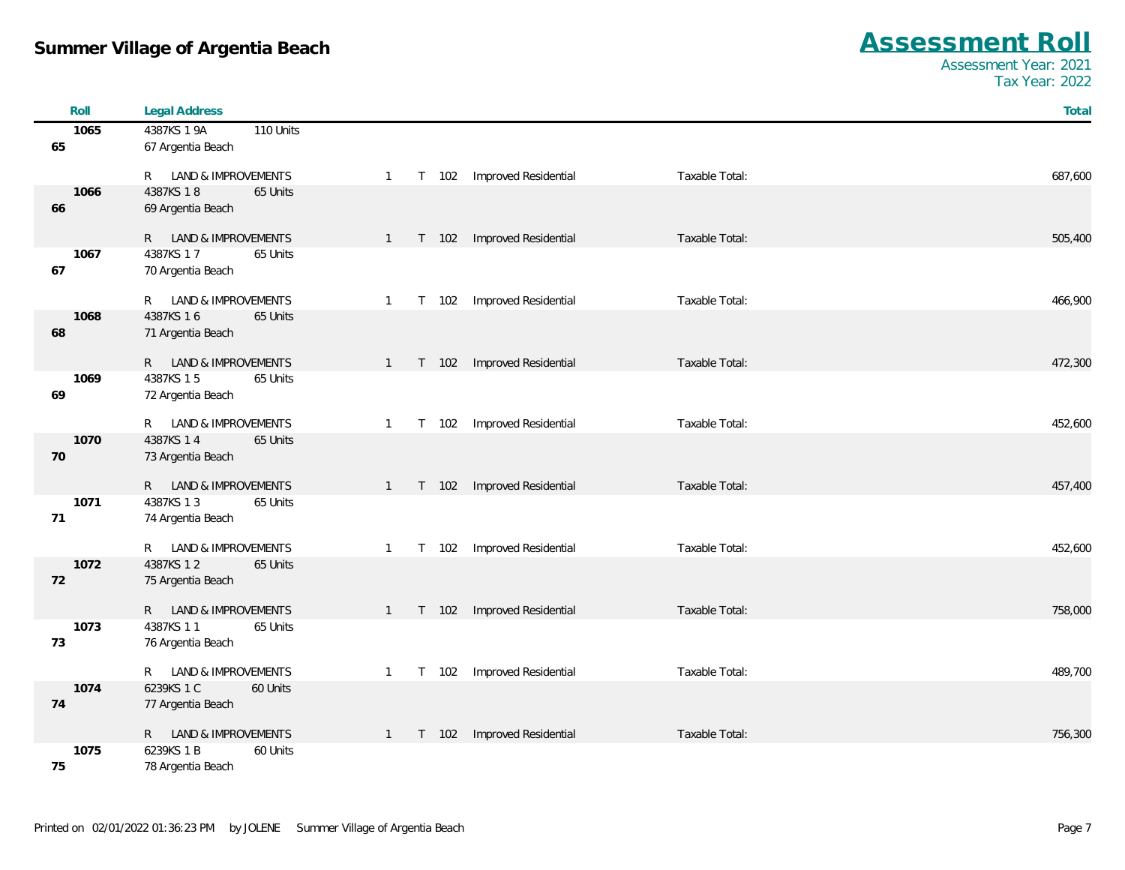| Roll       | <b>Legal Address</b>                           |                                                                   | Total   |
|------------|------------------------------------------------|-------------------------------------------------------------------|---------|
| 1065       | 4387KS 1 9A<br>110 Units                       |                                                                   |         |
| 65         | 67 Argentia Beach                              |                                                                   |         |
|            |                                                |                                                                   |         |
|            | R LAND & IMPROVEMENTS                          | Improved Residential<br>Taxable Total:<br>T 102<br>$\overline{1}$ | 687,600 |
| 1066       | 4387KS 18<br>65 Units                          |                                                                   |         |
| 66         | 69 Argentia Beach                              |                                                                   |         |
|            | R LAND & IMPROVEMENTS                          | Improved Residential<br>Taxable Total:<br>T 102<br>$\overline{1}$ | 505,400 |
| 1067       | 4387KS 17<br>65 Units                          |                                                                   |         |
| 67         | 70 Argentia Beach                              |                                                                   |         |
|            |                                                |                                                                   |         |
|            | LAND & IMPROVEMENTS<br>R                       | Improved Residential<br>Taxable Total:<br>T 102<br>$\overline{1}$ | 466,900 |
| 1068       | 4387KS 16<br>65 Units                          |                                                                   |         |
| 68         | 71 Argentia Beach                              |                                                                   |         |
|            | R LAND & IMPROVEMENTS                          | Improved Residential<br>Taxable Total:<br>T 102<br>$\overline{1}$ | 472,300 |
| 1069       | 4387KS 15<br>65 Units                          |                                                                   |         |
| 69         | 72 Argentia Beach                              |                                                                   |         |
|            |                                                |                                                                   |         |
|            | LAND & IMPROVEMENTS<br>R                       | Improved Residential<br>Taxable Total:<br>T 102<br>$\mathbf{1}$   | 452,600 |
| 1070       | 4387KS 14<br>65 Units                          |                                                                   |         |
| 70         | 73 Argentia Beach                              |                                                                   |         |
|            |                                                |                                                                   |         |
| 1071       | R LAND & IMPROVEMENTS<br>4387KS 13<br>65 Units | Improved Residential<br>Taxable Total:<br>T 102<br>$\mathbf{1}$   | 457,400 |
| 71         | 74 Argentia Beach                              |                                                                   |         |
|            |                                                |                                                                   |         |
|            | R LAND & IMPROVEMENTS                          | Improved Residential<br>Taxable Total:<br>T 102<br>$\overline{1}$ | 452,600 |
| 1072       | 4387KS 12<br>65 Units                          |                                                                   |         |
| 72         | 75 Argentia Beach                              |                                                                   |         |
|            |                                                |                                                                   |         |
|            | R LAND & IMPROVEMENTS                          | Improved Residential<br>Taxable Total:<br>$T$ 102<br>$\mathbf{1}$ | 758,000 |
| 1073<br>73 | 4387KS 11<br>65 Units<br>76 Argentia Beach     |                                                                   |         |
|            |                                                |                                                                   |         |
|            | R LAND & IMPROVEMENTS                          | Improved Residential<br>Taxable Total:<br>T 102<br>1              | 489,700 |
| 1074       | 6239KS 1 C<br>60 Units                         |                                                                   |         |
| 74         | 77 Argentia Beach                              |                                                                   |         |
|            |                                                |                                                                   |         |
|            | R LAND & IMPROVEMENTS                          | Improved Residential<br>Taxable Total:<br>T 102<br>$\mathbf{1}$   | 756,300 |
| 1075       | 6239KS 1 B<br>60 Units                         |                                                                   |         |
| 75         | 78 Argentia Beach                              |                                                                   |         |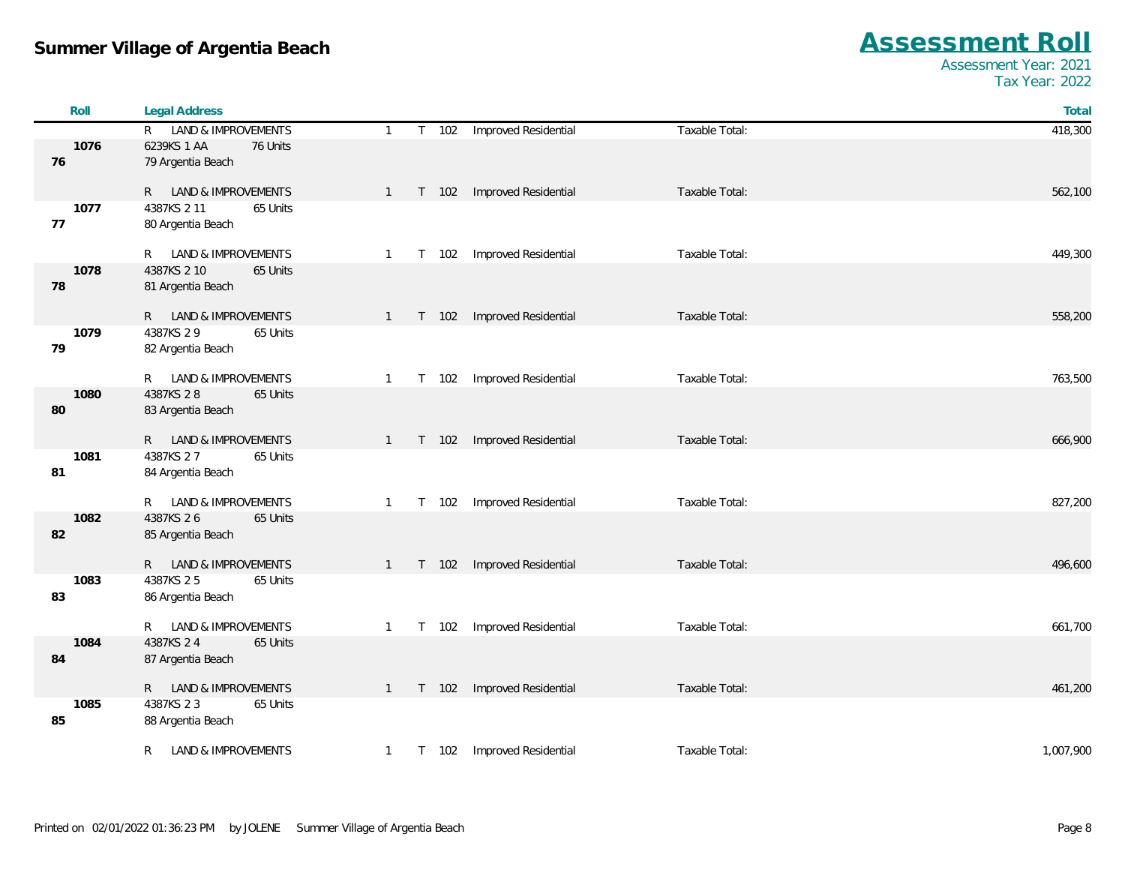| Roll       | <b>Legal Address</b>                       |                       |                      |                | Total     |
|------------|--------------------------------------------|-----------------------|----------------------|----------------|-----------|
|            | R LAND & IMPROVEMENTS                      | T 102<br>$\mathbf{1}$ | Improved Residential | Taxable Total: | 418,300   |
| 1076       | 6239KS 1 AA<br>76 Units                    |                       |                      |                |           |
| 76         | 79 Argentia Beach                          |                       |                      |                |           |
|            |                                            |                       |                      |                |           |
|            | R LAND & IMPROVEMENTS                      | T 102<br>$\mathbf{1}$ | Improved Residential | Taxable Total: | 562,100   |
| 1077<br>77 | 4387KS 2 11<br>65 Units                    |                       |                      |                |           |
|            | 80 Argentia Beach                          |                       |                      |                |           |
|            | R LAND & IMPROVEMENTS                      | T 102<br>$\mathbf{1}$ | Improved Residential | Taxable Total: | 449,300   |
| 1078       | 4387KS 2 10<br>65 Units                    |                       |                      |                |           |
| 78         | 81 Argentia Beach                          |                       |                      |                |           |
|            |                                            |                       |                      |                |           |
|            | R LAND & IMPROVEMENTS                      | T 102<br>1            | Improved Residential | Taxable Total: | 558,200   |
| 1079       | 4387KS 2 9<br>65 Units                     |                       |                      |                |           |
| 79         | 82 Argentia Beach                          |                       |                      |                |           |
|            | R LAND & IMPROVEMENTS                      | T 102<br>$\mathbf{1}$ | Improved Residential | Taxable Total: | 763,500   |
| 1080       | 4387KS 28<br>65 Units                      |                       |                      |                |           |
| 80         | 83 Argentia Beach                          |                       |                      |                |           |
|            |                                            |                       |                      |                |           |
|            | R LAND & IMPROVEMENTS                      | T 102<br>1            | Improved Residential | Taxable Total: | 666,900   |
| 1081       | 4387KS 27<br>65 Units                      |                       |                      |                |           |
| 81         | 84 Argentia Beach                          |                       |                      |                |           |
|            | R LAND & IMPROVEMENTS                      | T 102                 | Improved Residential | Taxable Total: | 827,200   |
| 1082       | 4387KS 26<br>65 Units                      | $\mathbf{1}$          |                      |                |           |
| 82         | 85 Argentia Beach                          |                       |                      |                |           |
|            |                                            |                       |                      |                |           |
|            | R LAND & IMPROVEMENTS                      | T 102<br>$1 \quad$    | Improved Residential | Taxable Total: | 496,600   |
| 1083       | 4387KS 25<br>65 Units                      |                       |                      |                |           |
| 83         | 86 Argentia Beach                          |                       |                      |                |           |
|            |                                            |                       |                      |                |           |
|            | R LAND & IMPROVEMENTS                      | T 102<br>$\mathbf{1}$ | Improved Residential | Taxable Total: | 661,700   |
| 1084<br>84 | 4387KS 24<br>65 Units<br>87 Argentia Beach |                       |                      |                |           |
|            |                                            |                       |                      |                |           |
|            | R LAND & IMPROVEMENTS                      | T 102<br>$\mathbf{1}$ | Improved Residential | Taxable Total: | 461,200   |
| 1085       | 4387KS 23<br>65 Units                      |                       |                      |                |           |
| 85         | 88 Argentia Beach                          |                       |                      |                |           |
|            |                                            |                       |                      |                |           |
|            | LAND & IMPROVEMENTS<br>R.                  | T 102<br>$\mathbf{1}$ | Improved Residential | Taxable Total: | 1,007,900 |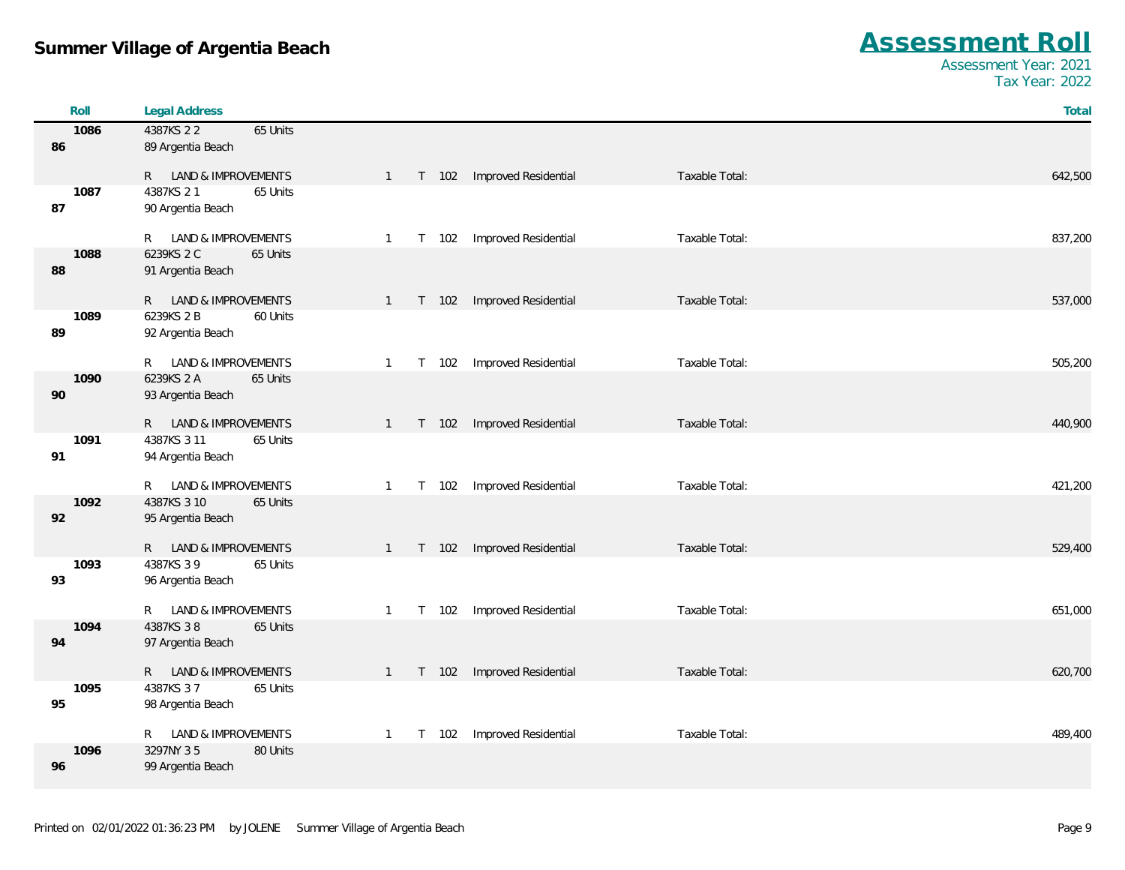| Roll       | <b>Legal Address</b>       |                                                                                 | Total   |
|------------|----------------------------|---------------------------------------------------------------------------------|---------|
| 1086       | 4387KS 22<br>65 Units      |                                                                                 |         |
| 86         | 89 Argentia Beach          |                                                                                 |         |
|            |                            |                                                                                 |         |
|            | R LAND & IMPROVEMENTS      | T 102 Improved Residential<br>Taxable Total:<br>$\overline{1}$                  | 642,500 |
| 1087<br>87 | 4387KS 21<br>65 Units      |                                                                                 |         |
|            | 90 Argentia Beach          |                                                                                 |         |
|            | LAND & IMPROVEMENTS<br>R — | Improved Residential<br>Taxable Total:<br>102<br>$\overline{1}$<br>$\mathsf{T}$ | 837,200 |
| 1088       | 6239KS 2 C<br>65 Units     |                                                                                 |         |
| 88         | 91 Argentia Beach          |                                                                                 |         |
|            |                            |                                                                                 |         |
|            | R LAND & IMPROVEMENTS      | Improved Residential<br>Taxable Total:<br>T 102<br>$\overline{1}$               | 537,000 |
| 1089       | 6239KS 2 B<br>60 Units     |                                                                                 |         |
| 89         | 92 Argentia Beach          |                                                                                 |         |
|            | R LAND & IMPROVEMENTS      | Improved Residential<br>Taxable Total:<br>102<br>$\overline{1}$<br>$\mathsf{T}$ | 505,200 |
| 1090       | 6239KS 2 A<br>65 Units     |                                                                                 |         |
| 90         | 93 Argentia Beach          |                                                                                 |         |
|            |                            |                                                                                 |         |
|            | R LAND & IMPROVEMENTS      | Improved Residential<br>Taxable Total:<br>T 102<br>$\mathbf{1}$                 | 440,900 |
| 1091       | 4387KS 3 11<br>65 Units    |                                                                                 |         |
| 91         | 94 Argentia Beach          |                                                                                 |         |
|            | R LAND & IMPROVEMENTS      | Improved Residential<br>Taxable Total:<br>102<br>$\overline{1}$<br>$\mathsf{T}$ | 421,200 |
| 1092       | 4387KS 3 10<br>65 Units    |                                                                                 |         |
| 92         | 95 Argentia Beach          |                                                                                 |         |
|            |                            |                                                                                 |         |
|            | R LAND & IMPROVEMENTS      | Taxable Total:<br>T 102<br>Improved Residential<br>$\mathbf{1}$                 | 529,400 |
| 1093       | 4387KS 39<br>65 Units      |                                                                                 |         |
| 93         | 96 Argentia Beach          |                                                                                 |         |
|            | LAND & IMPROVEMENTS<br>R   | Taxable Total:<br>Improved Residential<br>T 102<br>$\overline{1}$               | 651,000 |
| 1094       | 4387KS 38<br>65 Units      |                                                                                 |         |
| 94         | 97 Argentia Beach          |                                                                                 |         |
|            |                            |                                                                                 |         |
|            | R LAND & IMPROVEMENTS      | Improved Residential<br>Taxable Total:<br>T 102<br>$\overline{1}$               | 620,700 |
| 1095       | 4387KS 37<br>65 Units      |                                                                                 |         |
| 95         | 98 Argentia Beach          |                                                                                 |         |
|            | R LAND & IMPROVEMENTS      | Improved Residential<br>Taxable Total:<br>102<br>$\overline{1}$<br>T.           | 489,400 |
| 1096       | 3297NY 35<br>80 Units      |                                                                                 |         |
| 96         | 99 Argentia Beach          |                                                                                 |         |
|            |                            |                                                                                 |         |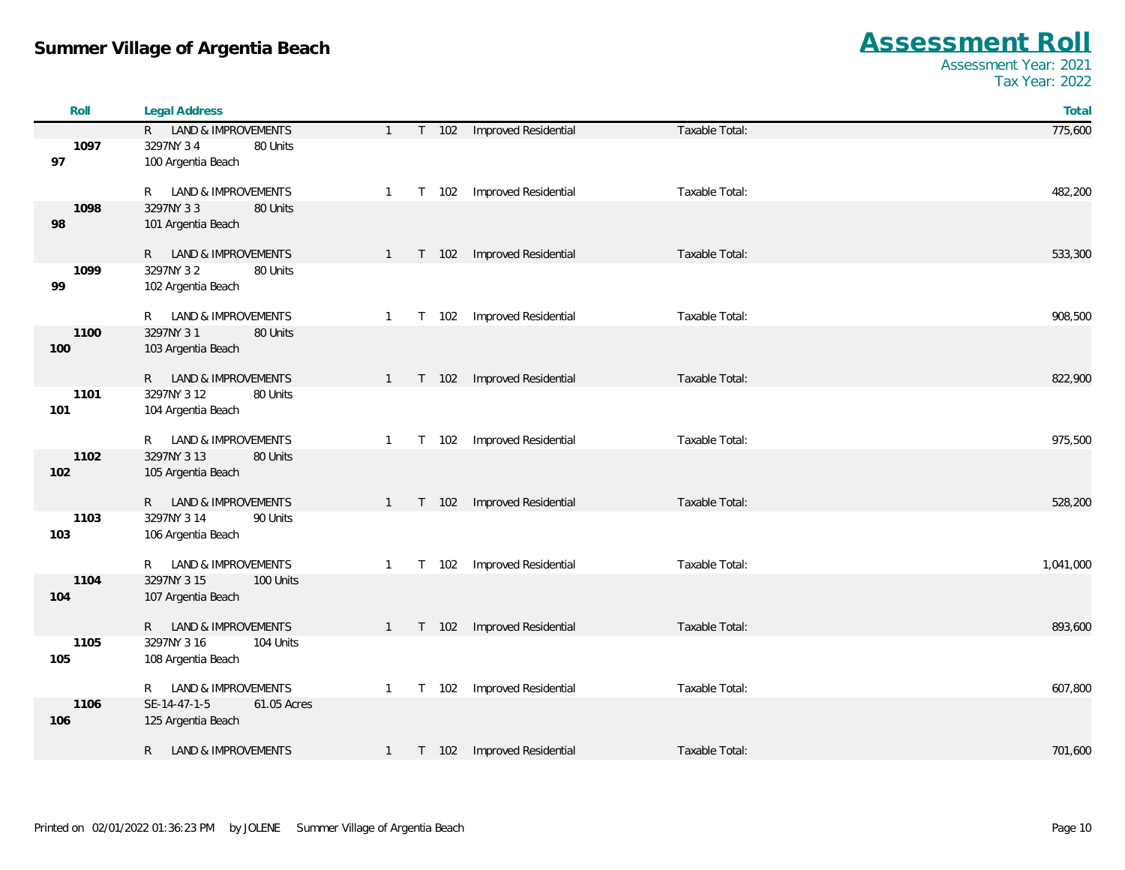| Roll        | <b>Legal Address</b>                              |                |         |                             |                | Total     |
|-------------|---------------------------------------------------|----------------|---------|-----------------------------|----------------|-----------|
|             | R LAND & IMPROVEMENTS                             | $\mathbf{1}$   |         | T 102 Improved Residential  | Taxable Total: | 775,600   |
| 1097        | 3297NY 34<br>80 Units                             |                |         |                             |                |           |
| 97          | 100 Argentia Beach                                |                |         |                             |                |           |
|             |                                                   |                |         |                             |                |           |
| 1098        | LAND & IMPROVEMENTS<br>R<br>80 Units<br>3297NY 33 | $\mathbf{1}$   | T 102   | Improved Residential        | Taxable Total: | 482,200   |
| 98          | 101 Argentia Beach                                |                |         |                             |                |           |
|             |                                                   |                |         |                             |                |           |
|             | R LAND & IMPROVEMENTS                             | $\mathbf{1}$   | T 102   | Improved Residential        | Taxable Total: | 533,300   |
| 1099        | 3297NY 32<br>80 Units                             |                |         |                             |                |           |
| 99          | 102 Argentia Beach                                |                |         |                             |                |           |
|             |                                                   |                |         |                             |                |           |
|             | LAND & IMPROVEMENTS<br>R                          | $\mathbf{1}$   | T 102   | Improved Residential        | Taxable Total: | 908,500   |
| 1100<br>100 | 3297NY 31<br>80 Units<br>103 Argentia Beach       |                |         |                             |                |           |
|             |                                                   |                |         |                             |                |           |
|             | R LAND & IMPROVEMENTS                             | $1 \quad$      | T 102   | Improved Residential        | Taxable Total: | 822,900   |
| 1101        | 3297NY 3 12<br>80 Units                           |                |         |                             |                |           |
| 101         | 104 Argentia Beach                                |                |         |                             |                |           |
|             |                                                   |                |         |                             |                |           |
|             | LAND & IMPROVEMENTS<br>R                          | 1              | T 102   | Improved Residential        | Taxable Total: | 975,500   |
| 1102        | 3297NY 3 13<br>80 Units                           |                |         |                             |                |           |
| 102         | 105 Argentia Beach                                |                |         |                             |                |           |
|             | R LAND & IMPROVEMENTS                             | $\mathbf{1}$   | T 102   | Improved Residential        | Taxable Total: | 528,200   |
| 1103        | 3297NY 3 14<br>90 Units                           |                |         |                             |                |           |
| 103         | 106 Argentia Beach                                |                |         |                             |                |           |
|             |                                                   |                |         |                             |                |           |
|             | LAND & IMPROVEMENTS<br>R.                         | $\mathbf{1}$   | T 102   | Improved Residential        | Taxable Total: | 1,041,000 |
| 1104        | 3297NY 3 15<br>100 Units                          |                |         |                             |                |           |
| 104         | 107 Argentia Beach                                |                |         |                             |                |           |
|             | LAND & IMPROVEMENTS<br>$R_{\perp}$                | $\overline{1}$ | T 102   | Improved Residential        | Taxable Total: | 893,600   |
| 1105        | 3297NY 3 16<br>104 Units                          |                |         |                             |                |           |
| 105         | 108 Argentia Beach                                |                |         |                             |                |           |
|             |                                                   |                |         |                             |                |           |
|             | LAND & IMPROVEMENTS<br>R                          | 1              | T 102   | Improved Residential        | Taxable Total: | 607,800   |
| 1106        | SE-14-47-1-5<br>61.05 Acres                       |                |         |                             |                |           |
| 106         | 125 Argentia Beach                                |                |         |                             |                |           |
|             | <b>LAND &amp; IMPROVEMENTS</b><br>R.              | $\overline{1}$ | $T$ 102 | <b>Improved Residential</b> | Taxable Total: | 701,600   |
|             |                                                   |                |         |                             |                |           |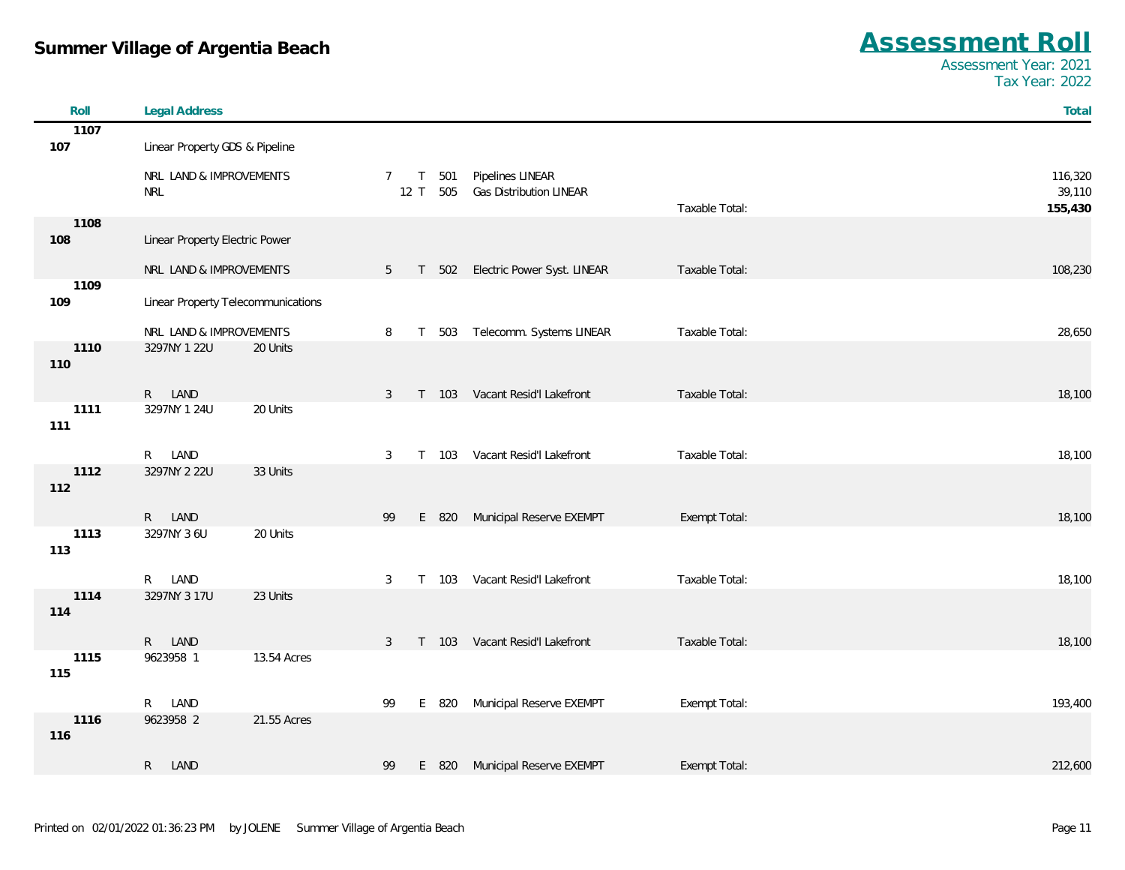| $A$ ssessment |  |
|---------------|--|

| Roll        | <b>Legal Address</b>               |                                                          | Total   |
|-------------|------------------------------------|----------------------------------------------------------|---------|
| 1107        |                                    |                                                          |         |
| 107         | Linear Property GDS & Pipeline     |                                                          |         |
|             | NRL LAND & IMPROVEMENTS            | Pipelines LINEAR<br>501<br>$7\overline{ }$<br>$\top$     | 116,320 |
|             | <b>NRL</b>                         | Gas Distribution LINEAR<br>12T<br>505                    | 39,110  |
|             |                                    | Taxable Total:                                           | 155,430 |
| 1108        |                                    |                                                          |         |
| 108         | Linear Property Electric Power     |                                                          |         |
|             | NRL LAND & IMPROVEMENTS            | 5 T 502 Electric Power Syst. LINEAR<br>Taxable Total:    | 108,230 |
| 1109        |                                    |                                                          |         |
| 109         | Linear Property Telecommunications |                                                          |         |
|             | NRL LAND & IMPROVEMENTS            | T 503 Telecomm. Systems LINEAR<br>Taxable Total:<br>8    | 28,650  |
| 1110        | 3297NY 1 22U<br>20 Units           |                                                          |         |
| 110         |                                    |                                                          |         |
|             | R LAND                             | Taxable Total:                                           |         |
| 1111        | 20 Units<br>3297NY 1 24U           | 3 T 103 Vacant Resid'l Lakefront                         | 18,100  |
| 111         |                                    |                                                          |         |
|             |                                    |                                                          |         |
| 1112        | R LAND<br>3297NY 2 22U<br>33 Units | T 103 Vacant Resid'l Lakefront<br>Taxable Total:<br>3    | 18,100  |
| 112         |                                    |                                                          |         |
|             |                                    |                                                          |         |
|             | R LAND                             | E 820 Municipal Reserve EXEMPT<br>Exempt Total:<br>99    | 18,100  |
| 1113<br>113 | 3297NY 3 6U<br>20 Units            |                                                          |         |
|             |                                    |                                                          |         |
|             | R LAND                             | T 103 Vacant Resid'l Lakefront<br>Taxable Total:<br>3    | 18,100  |
| 1114        | 3297NY 3 17U<br>23 Units           |                                                          |         |
| 114         |                                    |                                                          |         |
|             | R LAND                             | 3 T 103 Vacant Resid'l Lakefront<br>Taxable Total:       | 18,100  |
| 1115        | 9623958 1<br>13.54 Acres           |                                                          |         |
| 115         |                                    |                                                          |         |
|             | R LAND                             | Municipal Reserve EXEMPT<br>Exempt Total:<br>99<br>E 820 | 193,400 |
| 1116        | 9623958 2<br>21.55 Acres           |                                                          |         |
| 116         |                                    |                                                          |         |
|             | R.<br>LAND                         | Municipal Reserve EXEMPT<br>Exempt Total:<br>99<br>E 820 | 212,600 |
|             |                                    |                                                          |         |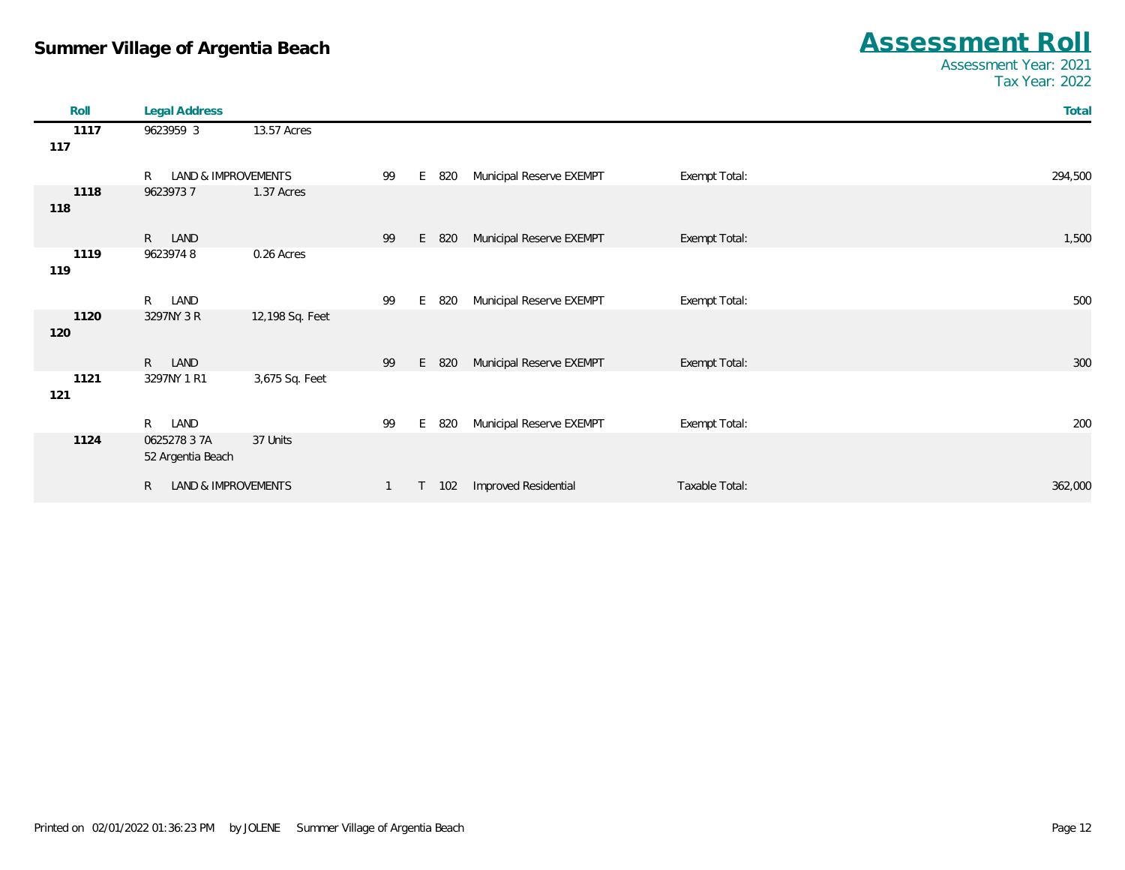| Roll        | <b>Legal Address</b>                |                 |              |    |     |                          |                | Total   |
|-------------|-------------------------------------|-----------------|--------------|----|-----|--------------------------|----------------|---------|
| 1117<br>117 | 9623959 3                           | 13.57 Acres     |              |    |     |                          |                |         |
|             | R<br>LAND & IMPROVEMENTS            |                 | 99           | E  | 820 | Municipal Reserve EXEMPT | Exempt Total:  | 294,500 |
| 1118<br>118 | 96239737                            | 1.37 Acres      |              |    |     |                          |                |         |
|             | R LAND                              |                 | 99           | E  | 820 | Municipal Reserve EXEMPT | Exempt Total:  | 1,500   |
| 1119<br>119 | 96239748                            | 0.26 Acres      |              |    |     |                          |                |         |
|             | R<br>LAND                           |                 | 99           | E. | 820 | Municipal Reserve EXEMPT | Exempt Total:  | 500     |
| 1120<br>120 | 3297NY 3 R                          | 12,198 Sq. Feet |              |    |     |                          |                |         |
|             | R<br>LAND                           |                 | 99           | E  | 820 | Municipal Reserve EXEMPT | Exempt Total:  | 300     |
| 1121<br>121 | 3297NY 1 R1                         | 3,675 Sq. Feet  |              |    |     |                          |                |         |
|             | LAND<br>$R_{\perp}$                 |                 | 99           | E. | 820 | Municipal Reserve EXEMPT | Exempt Total:  | 200     |
| 1124        | 0625278 3 7A<br>52 Argentia Beach   | 37 Units        |              |    |     |                          |                |         |
|             | LAND & IMPROVEMENTS<br>$\mathsf{R}$ |                 | $\mathbf{1}$ | T. | 102 | Improved Residential     | Taxable Total: | 362,000 |